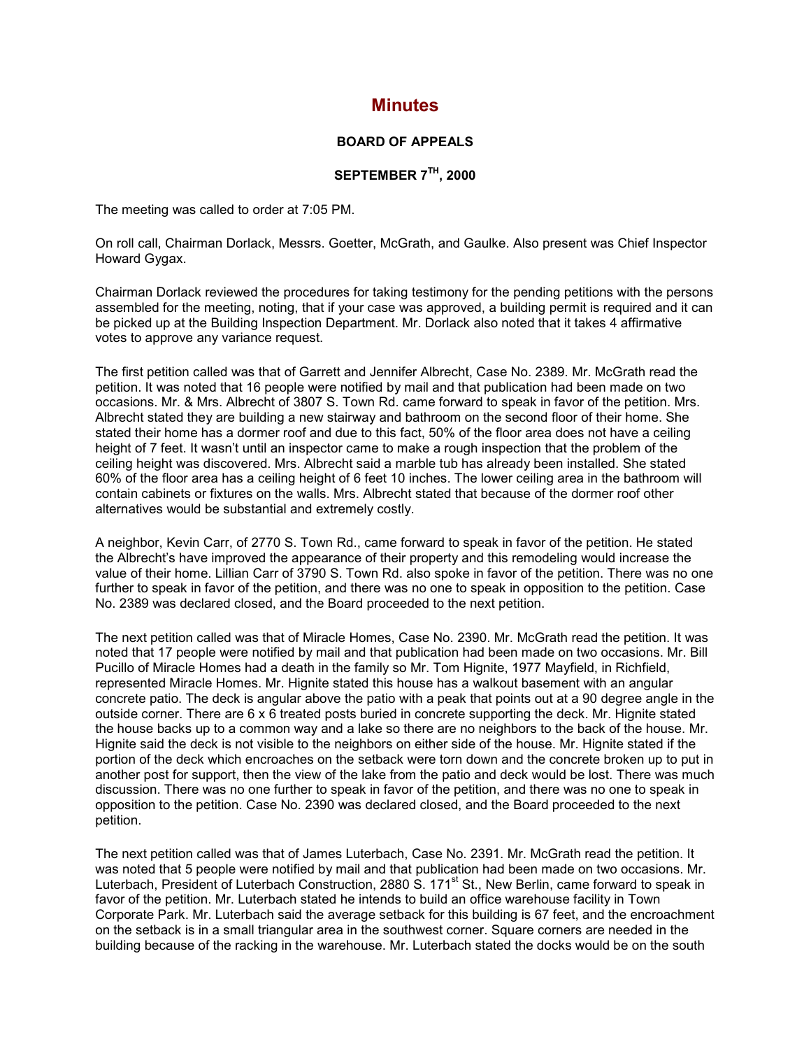## **Minutes**

## **BOARD OF APPEALS**

## **SEPTEMBER 7TH, 2000**

The meeting was called to order at 7:05 PM.

On roll call, Chairman Dorlack, Messrs. Goetter, McGrath, and Gaulke. Also present was Chief Inspector Howard Gygax.

Chairman Dorlack reviewed the procedures for taking testimony for the pending petitions with the persons assembled for the meeting, noting, that if your case was approved, a building permit is required and it can be picked up at the Building Inspection Department. Mr. Dorlack also noted that it takes 4 affirmative votes to approve any variance request.

The first petition called was that of Garrett and Jennifer Albrecht, Case No. 2389. Mr. McGrath read the petition. It was noted that 16 people were notified by mail and that publication had been made on two occasions. Mr. & Mrs. Albrecht of 3807 S. Town Rd. came forward to speak in favor of the petition. Mrs. Albrecht stated they are building a new stairway and bathroom on the second floor of their home. She stated their home has a dormer roof and due to this fact, 50% of the floor area does not have a ceiling height of 7 feet. It wasn't until an inspector came to make a rough inspection that the problem of the ceiling height was discovered. Mrs. Albrecht said a marble tub has already been installed. She stated 60% of the floor area has a ceiling height of 6 feet 10 inches. The lower ceiling area in the bathroom will contain cabinets or fixtures on the walls. Mrs. Albrecht stated that because of the dormer roof other alternatives would be substantial and extremely costly.

A neighbor, Kevin Carr, of 2770 S. Town Rd., came forward to speak in favor of the petition. He stated the Albrecht's have improved the appearance of their property and this remodeling would increase the value of their home. Lillian Carr of 3790 S. Town Rd. also spoke in favor of the petition. There was no one further to speak in favor of the petition, and there was no one to speak in opposition to the petition. Case No. 2389 was declared closed, and the Board proceeded to the next petition.

The next petition called was that of Miracle Homes, Case No. 2390. Mr. McGrath read the petition. It was noted that 17 people were notified by mail and that publication had been made on two occasions. Mr. Bill Pucillo of Miracle Homes had a death in the family so Mr. Tom Hignite, 1977 Mayfield, in Richfield, represented Miracle Homes. Mr. Hignite stated this house has a walkout basement with an angular concrete patio. The deck is angular above the patio with a peak that points out at a 90 degree angle in the outside corner. There are 6 x 6 treated posts buried in concrete supporting the deck. Mr. Hignite stated the house backs up to a common way and a lake so there are no neighbors to the back of the house. Mr. Hignite said the deck is not visible to the neighbors on either side of the house. Mr. Hignite stated if the portion of the deck which encroaches on the setback were torn down and the concrete broken up to put in another post for support, then the view of the lake from the patio and deck would be lost. There was much discussion. There was no one further to speak in favor of the petition, and there was no one to speak in opposition to the petition. Case No. 2390 was declared closed, and the Board proceeded to the next petition.

The next petition called was that of James Luterbach, Case No. 2391. Mr. McGrath read the petition. It was noted that 5 people were notified by mail and that publication had been made on two occasions. Mr. Luterbach, President of Luterbach Construction, 2880 S. 171<sup>st</sup> St., New Berlin, came forward to speak in favor of the petition. Mr. Luterbach stated he intends to build an office warehouse facility in Town Corporate Park. Mr. Luterbach said the average setback for this building is 67 feet, and the encroachment on the setback is in a small triangular area in the southwest corner. Square corners are needed in the building because of the racking in the warehouse. Mr. Luterbach stated the docks would be on the south